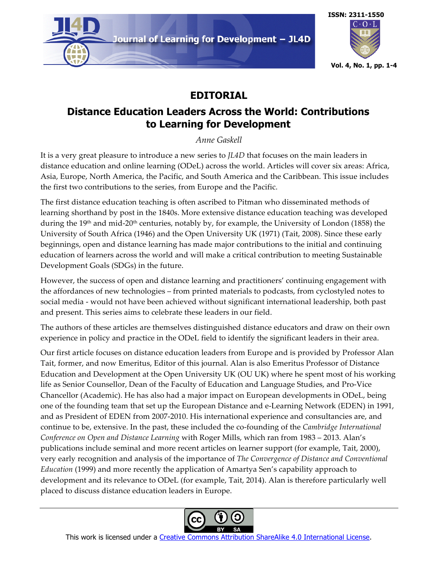



## **EDITORIAL**

## **Distance Education Leaders Across the World: Contributions to Learning for Development**

*Anne Gaskell*

It is a very great pleasure to introduce a new series to *JL4D* that focuses on the main leaders in distance education and online learning (ODeL) across the world. Articles will cover six areas: Africa, Asia, Europe, North America, the Pacific, and South America and the Caribbean. This issue includes the first two contributions to the series, from Europe and the Pacific.

The first distance education teaching is often ascribed to Pitman who disseminated methods of learning shorthand by post in the 1840s. More extensive distance education teaching was developed during the 19<sup>th</sup> and mid-20<sup>th</sup> centuries, notably by, for example, the University of London (1858) the University of South Africa (1946) and the Open University UK (1971) (Tait, 2008). Since these early beginnings, open and distance learning has made major contributions to the initial and continuing education of learners across the world and will make a critical contribution to meeting Sustainable Development Goals (SDGs) in the future.

However, the success of open and distance learning and practitioners' continuing engagement with the affordances of new technologies – from printed materials to podcasts, from cyclostyled notes to social media - would not have been achieved without significant international leadership, both past and present. This series aims to celebrate these leaders in our field.

The authors of these articles are themselves distinguished distance educators and draw on their own experience in policy and practice in the ODeL field to identify the significant leaders in their area.

Our first article focuses on distance education leaders from Europe and is provided by Professor Alan Tait, former, and now Emeritus, Editor of this journal. Alan is also Emeritus Professor of Distance Education and Development at the Open University UK (OU UK) where he spent most of his working life as Senior Counsellor, Dean of the Faculty of Education and Language Studies, and Pro-Vice Chancellor (Academic). He has also had a major impact on European developments in ODeL, being one of the founding team that set up the European Distance and e-Learning Network (EDEN) in 1991, and as President of EDEN from 2007-2010. His international experience and consultancies are, and continue to be, extensive. In the past, these included the co-founding of the *Cambridge International Conference on Open and Distance Learning* with Roger Mills, which ran from 1983 – 2013. Alan's publications include seminal and more recent articles on learner support (for example, Tait, 2000), very early recognition and analysis of the importance of *The Convergence of Distance and Conventional Education* (1999) and more recently the application of Amartya Sen's capability approach to development and its relevance to ODeL (for example, Tait, 2014). Alan is therefore particularly well placed to discuss distance education leaders in Europe.

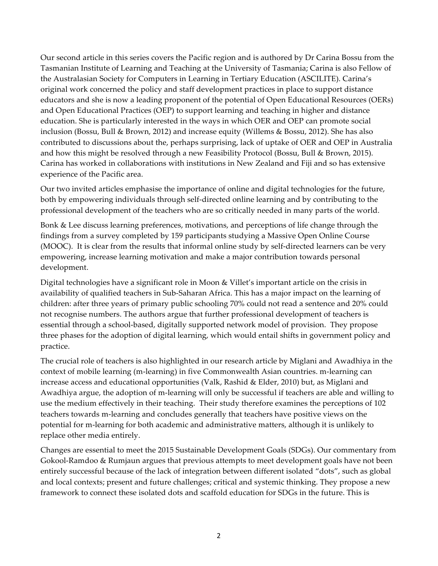Our second article in this series covers the Pacific region and is authored by Dr Carina Bossu from the Tasmanian Institute of Learning and Teaching at the University of Tasmania; Carina is also Fellow of the Australasian Society for Computers in Learning in Tertiary Education (ASCILITE). Carina's original work concerned the policy and staff development practices in place to support distance educators and she is now a leading proponent of the potential of Open Educational Resources (OERs) and Open Educational Practices (OEP) to support learning and teaching in higher and distance education. She is particularly interested in the ways in which OER and OEP can promote social inclusion (Bossu, Bull & Brown, 2012) and increase equity (Willems & Bossu, 2012). She has also contributed to discussions about the, perhaps surprising, lack of uptake of OER and OEP in Australia and how this might be resolved through a new Feasibility Protocol (Bossu, Bull & Brown, 2015). Carina has worked in collaborations with institutions in New Zealand and Fiji and so has extensive experience of the Pacific area.

Our two invited articles emphasise the importance of online and digital technologies for the future, both by empowering individuals through self-directed online learning and by contributing to the professional development of the teachers who are so critically needed in many parts of the world.

Bonk & Lee discuss learning preferences, motivations, and perceptions of life change through the findings from a survey completed by 159 participants studying a Massive Open Online Course (MOOC). It is clear from the results that informal online study by self-directed learners can be very empowering, increase learning motivation and make a major contribution towards personal development.

Digital technologies have a significant role in Moon & Villet's important article on the crisis in availability of qualified teachers in Sub-Saharan Africa. This has a major impact on the learning of children: after three years of primary public schooling 70% could not read a sentence and 20% could not recognise numbers. The authors argue that further professional development of teachers is essential through a school-based, digitally supported network model of provision. They propose three phases for the adoption of digital learning, which would entail shifts in government policy and practice.

The crucial role of teachers is also highlighted in our research article by Miglani and Awadhiya in the context of mobile learning (m-learning) in five Commonwealth Asian countries. m-learning can increase access and educational opportunities (Valk, Rashid & Elder, 2010) but, as Miglani and Awadhiya argue, the adoption of m-learning will only be successful if teachers are able and willing to use the medium effectively in their teaching. Their study therefore examines the perceptions of 102 teachers towards m-learning and concludes generally that teachers have positive views on the potential for m-learning for both academic and administrative matters, although it is unlikely to replace other media entirely.

Changes are essential to meet the 2015 Sustainable Development Goals (SDGs). Our commentary from Gokool-Ramdoo & Rumjaun argues that previous attempts to meet development goals have not been entirely successful because of the lack of integration between different isolated "dots", such as global and local contexts; present and future challenges; critical and systemic thinking. They propose a new framework to connect these isolated dots and scaffold education for SDGs in the future. This is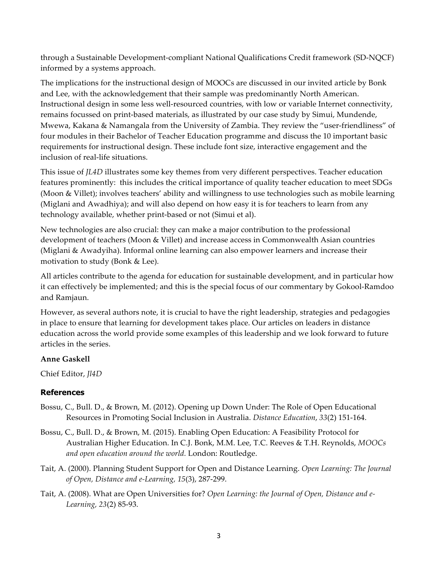through a Sustainable Development-compliant National Qualifications Credit framework (SD-NQCF) informed by a systems approach.

The implications for the instructional design of MOOCs are discussed in our invited article by Bonk and Lee, with the acknowledgement that their sample was predominantly North American. Instructional design in some less well-resourced countries, with low or variable Internet connectivity, remains focussed on print-based materials, as illustrated by our case study by Simui, Mundende, Mwewa, Kakana & Namangala from the University of Zambia. They review the "user-friendliness" of four modules in their Bachelor of Teacher Education programme and discuss the 10 important basic requirements for instructional design. These include font size, interactive engagement and the inclusion of real-life situations.

This issue of *JL4D* illustrates some key themes from very different perspectives. Teacher education features prominently: this includes the critical importance of quality teacher education to meet SDGs (Moon & Villet); involves teachers' ability and willingness to use technologies such as mobile learning (Miglani and Awadhiya); and will also depend on how easy it is for teachers to learn from any technology available, whether print-based or not (Simui et al).

New technologies are also crucial: they can make a major contribution to the professional development of teachers (Moon & Villet) and increase access in Commonwealth Asian countries (Miglani & Awadyiha). Informal online learning can also empower learners and increase their motivation to study (Bonk & Lee).

All articles contribute to the agenda for education for sustainable development, and in particular how it can effectively be implemented; and this is the special focus of our commentary by Gokool-Ramdoo and Ramjaun.

However, as several authors note, it is crucial to have the right leadership, strategies and pedagogies in place to ensure that learning for development takes place. Our articles on leaders in distance education across the world provide some examples of this leadership and we look forward to future articles in the series.

## **Anne Gaskell**

Chief Editor, *Jl4D*

## **References**

- Bossu, C., Bull. D., & Brown, M. (2012). Opening up Down Under: The Role of Open Educational Resources in Promoting Social Inclusion in Australia. *Distance Education*, *33*(2) 151-164.
- Bossu, C., Bull. D., & Brown, M. (2015). Enabling Open Education: A Feasibility Protocol for Australian Higher Education. In C.J. Bonk, M.M. Lee, T.C. Reeves & T.H. Reynolds, *MOOCs and open education around the world.* London: Routledge.
- Tait, A. (2000). Planning Student Support for Open and Distance Learning. *Open Learning: The Journal of Open, Distance and e-Learning, 15*(3), 287-299.
- Tait, A. (2008). What are Open Universities for? *Open Learning: the Journal of Open, Distance and e-Learning, 23*(2) 85-93.